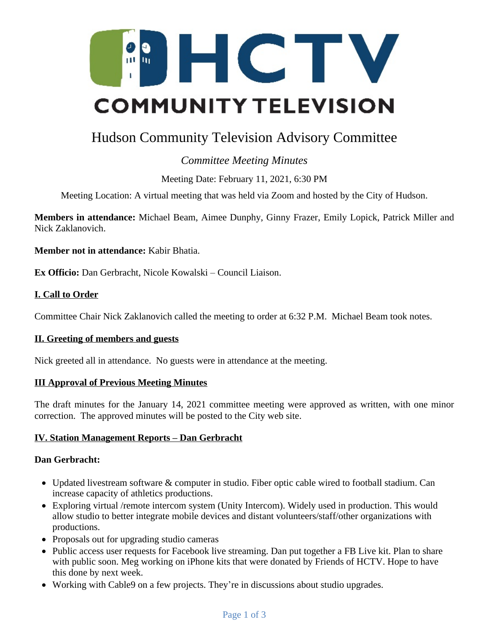

# Hudson Community Television Advisory Committee

# *Committee Meeting Minutes*

Meeting Date: February 11, 2021, 6:30 PM

Meeting Location: A virtual meeting that was held via Zoom and hosted by the City of Hudson.

**Members in attendance:** Michael Beam, Aimee Dunphy, Ginny Frazer, Emily Lopick, Patrick Miller and Nick Zaklanovich.

**Member not in attendance:** Kabir Bhatia.

**Ex Officio:** Dan Gerbracht, Nicole Kowalski – Council Liaison.

# **I. Call to Order**

Committee Chair Nick Zaklanovich called the meeting to order at 6:32 P.M. Michael Beam took notes.

# **II. Greeting of members and guests**

Nick greeted all in attendance. No guests were in attendance at the meeting.

# **III Approval of Previous Meeting Minutes**

The draft minutes for the January 14, 2021 committee meeting were approved as written, with one minor correction. The approved minutes will be posted to the City web site.

# **IV. Station Management Reports – Dan Gerbracht**

# **Dan Gerbracht:**

- Updated livestream software & computer in studio. Fiber optic cable wired to football stadium. Can increase capacity of athletics productions.
- Exploring virtual /remote intercom system (Unity Intercom). Widely used in production. This would allow studio to better integrate mobile devices and distant volunteers/staff/other organizations with productions.
- Proposals out for upgrading studio cameras
- Public access user requests for Facebook live streaming. Dan put together a FB Live kit. Plan to share with public soon. Meg working on iPhone kits that were donated by Friends of HCTV. Hope to have this done by next week.
- Working with Cable9 on a few projects. They're in discussions about studio upgrades.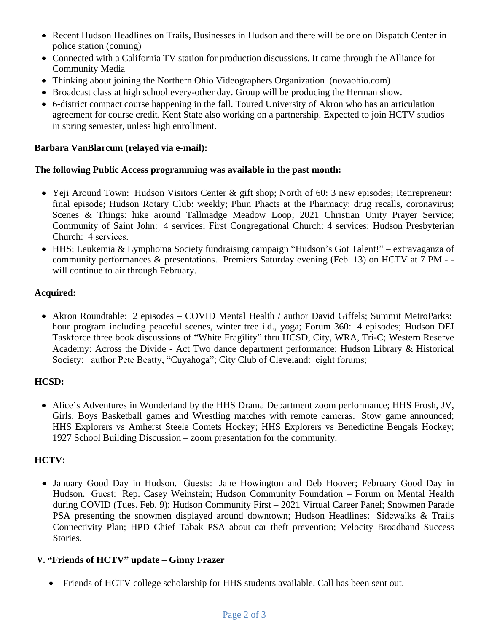- Recent Hudson Headlines on Trails, Businesses in Hudson and there will be one on Dispatch Center in police station (coming)
- Connected with a California TV station for production discussions. It came through the Alliance for Community Media
- Thinking about joining the Northern Ohio Videographers Organization (novaohio.com)
- Broadcast class at high school every-other day. Group will be producing the Herman show.
- 6-district compact course happening in the fall. Toured University of Akron who has an articulation agreement for course credit. Kent State also working on a partnership. Expected to join HCTV studios in spring semester, unless high enrollment.

#### **Barbara VanBlarcum (relayed via e-mail):**

#### **The following Public Access programming was available in the past month:**

- Yeji Around Town: Hudson Visitors Center & gift shop; North of 60: 3 new episodes; Retirepreneur: final episode; Hudson Rotary Club: weekly; Phun Phacts at the Pharmacy: drug recalls, coronavirus; Scenes & Things: hike around Tallmadge Meadow Loop; 2021 Christian Unity Prayer Service; Community of Saint John: 4 services; First Congregational Church: 4 services; Hudson Presbyterian Church: 4 services.
- HHS: Leukemia & Lymphoma Society fundraising campaign "Hudson's Got Talent!" extravaganza of community performances & presentations. Premiers Saturday evening (Feb. 13) on HCTV at 7 PM - will continue to air through February.

# **Acquired:**

• Akron Roundtable: 2 episodes – COVID Mental Health / author David Giffels; Summit MetroParks: hour program including peaceful scenes, winter tree i.d., yoga; Forum 360: 4 episodes; Hudson DEI Taskforce three book discussions of "White Fragility" thru HCSD, City, WRA, Tri-C; Western Reserve Academy: Across the Divide - Act Two dance department performance; Hudson Library & Historical Society: author Pete Beatty, "Cuyahoga"; City Club of Cleveland: eight forums;

# **HCSD:**

 Alice's Adventures in Wonderland by the HHS Drama Department zoom performance; HHS Frosh, JV, Girls, Boys Basketball games and Wrestling matches with remote cameras. Stow game announced; HHS Explorers vs Amherst Steele Comets Hockey; HHS Explorers vs Benedictine Bengals Hockey; 1927 School Building Discussion – zoom presentation for the community.

# **HCTV:**

• January Good Day in Hudson. Guests: Jane Howington and Deb Hoover; February Good Day in Hudson. Guest: Rep. Casey Weinstein; Hudson Community Foundation – Forum on Mental Health during COVID (Tues. Feb. 9); Hudson Community First – 2021 Virtual Career Panel; Snowmen Parade PSA presenting the snowmen displayed around downtown; Hudson Headlines: Sidewalks & Trails Connectivity Plan; HPD Chief Tabak PSA about car theft prevention; Velocity Broadband Success Stories.

# **V. "Friends of HCTV" update – Ginny Frazer**

Friends of HCTV college scholarship for HHS students available. Call has been sent out.